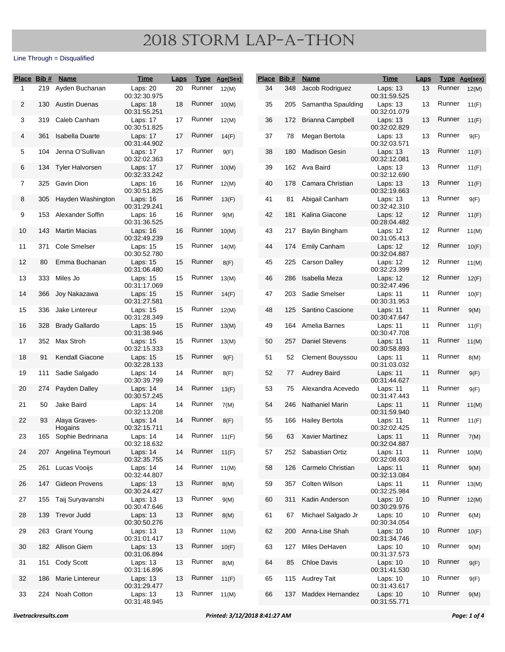| Place Bib # |     | <b>Name</b>              | <u>Time</u>              | <b>Laps</b> |        | Type Age(Sex) |    | Place Bib # | <u>Name</u>             | <u>Time</u>                | <b>Laps</b> | <b>Type Age(sex)</b> |       |
|-------------|-----|--------------------------|--------------------------|-------------|--------|---------------|----|-------------|-------------------------|----------------------------|-------------|----------------------|-------|
| 1           | 219 | Ayden Buchanan           | Laps: 20<br>00:32:30.975 | 20          | Runner | 12(M)         | 34 | 348         | Jacob Rodriguez         | Laps: 13<br>00:31:59.525   | 13          | Runner               | 12(M) |
| 2           | 130 | Austin Duenas            | Laps: 18<br>00:31:55.251 | 18          | Runner | 10(M)         | 35 | 205         | Samantha Spaulding      | Laps: 13<br>00:32:01.079   | 13          | Runner               | 11(F) |
| 3           | 319 | Caleb Canham             | Laps: 17<br>00:30:51.825 | 17          | Runner | 12(M)         | 36 | 172         | Brianna Campbell        | Laps: 13<br>00:32:02.829   | 13          | Runner               | 11(F) |
| 4           | 361 | Isabella Duarte          | Laps: 17<br>00:31:44.902 | 17          | Runner | 14(F)         | 37 | 78          | Megan Bertola           | Laps: 13<br>00:32:03.571   | 13          | Runner               | 9(F)  |
| 5           | 104 | Jenna O'Sullivan         | Laps: 17<br>00:32:02.363 | 17          | Runner | 9(F)          | 38 | 180         | <b>Madison Gesin</b>    | Laps: 13<br>00:32:12.081   | 13          | Runner               | 11(F) |
| 6           | 134 | <b>Tyler Halvorsen</b>   | Laps: 17<br>00:32:33.242 | 17          | Runner | 10(M)         | 39 |             | 162 Ava Baird           | Laps: 13<br>00:32:12.690   | 13          | Runner               | 11(F) |
| 7           | 325 | Gavin Dion               | Laps: 16<br>00:30:51.825 | 16          | Runner | 12(M)         | 40 | 178         | Camara Christian        | Laps: 13<br>00:32:19.663   | 13          | Runner               | 11(F) |
| 8           | 305 | Hayden Washington        | Laps: 16<br>00:31:29.241 | 16          | Runner | 13(F)         | 41 | 81          | Abigail Canham          | Laps: 13<br>00:32:42.310   | 13          | Runner               | 9(F)  |
| 9           | 153 | Alexander Soffin         | Laps: 16<br>00:31:36.525 | 16          | Runner | 9(M)          | 42 | 181         | Kalina Giacone          | Laps: 12<br>00:28:04.482   | 12          | Runner               | 11(F) |
| 10          | 143 | <b>Martin Macias</b>     | Laps: 16<br>00:32:49.239 | 16          | Runner | 10(M)         | 43 | 217         | Baylin Bingham          | Laps: $12$<br>00:31:05.413 | 12          | Runner               | 11(M) |
| 11          | 371 | Cole Smelser             | Laps: 15<br>00:30:52.780 | 15          | Runner | 14(M)         | 44 | 174         | <b>Emily Canham</b>     | Laps: 12<br>00:32:04.887   | 12          | Runner               | 10(F) |
| 12          | 80  | Emma Buchanan            | Laps: 15<br>00:31:06.480 | 15          | Runner | 8(F)          | 45 | 225         | Carson Dalley           | Laps: 12<br>00:32:23.399   | 12          | Runner               | 11(M) |
| 13          | 333 | Miles Jo                 | Laps: 15<br>00:31:17.069 | 15          | Runner | 13(M)         | 46 | 286         | Isabella Meza           | Laps: 12<br>00:32:47.496   | 12          | Runner               | 12(F) |
| 14          | 366 | Joy Nakazawa             | Laps: 15<br>00:31:27.581 | 15          | Runner | 14(F)         | 47 | 203         | Sadie Smelser           | Laps: 11<br>00:30:31.953   | 11          | Runner               | 10(F) |
| 15          | 336 | Jake Lintereur           | Laps: 15<br>00:31:28.349 | 15          | Runner | 12(M)         | 48 | 125         | Santino Cascione        | Laps: 11<br>00:30:47.647   | 11          | Runner               | 9(M)  |
| 16          | 328 | <b>Brady Gallardo</b>    | Laps: 15<br>00:31:38.946 | 15          | Runner | 13(M)         | 49 | 164         | Amelia Barnes           | Laps: 11<br>00:30:47.708   | 11          | Runner               | 11(F) |
| 17          | 352 | Max Stroh                | Laps: 15<br>00:32:15.333 | 15          | Runner | 13(M)         | 50 | 257         | <b>Daniel Stevens</b>   | Laps: 11<br>00:30:58.893   | 11          | Runner               | 11(M) |
| 18          | 91  | <b>Kendall Giacone</b>   | Laps: 15<br>00:32:28.133 | 15          | Runner | 9(F)          | 51 | 52          | <b>Clement Bouyssou</b> | Laps: 11<br>00:31:03.032   | 11          | Runner               | 8(M)  |
| 19          | 111 | Sadie Salgado            | Laps: 14<br>00:30:39.799 | 14          | Runner | 8(F)          | 52 | 77          | <b>Audrey Baird</b>     | Laps: 11<br>00:31:44.627   | 11          | Runner               | 9(F)  |
| 20          | 274 | Payden Dalley            | Laps: 14<br>00:30:57.245 | 14          | Runner | 13(F)         | 53 | 75          | Alexandra Acevedo       | Laps: 11<br>00:31:47.443   | 11          | Runner               | 9(F)  |
| 21          | 50  | Jake Baird               | Laps: 14<br>00:32:13.208 | 14          | Runner | 7(M)          | 54 | 246         | <b>Nathaniel Marin</b>  | Laps: 11<br>00:31:59.940   | 11          | Runner               | 11(M) |
| 22          | 93  | Alaya Graves-<br>Hogains | Laps: 14<br>00:32:15.711 | 14          | Runner | 8(F)          | 55 | 166         | Hailey Bertola          | Laps: 11<br>00:32:02.425   | 11          | Runner               | 11(F) |
| 23          |     | 165 Sophie Bedrinana     | Laps: 14<br>00:32:18.632 | 14          | Runner | 11(F)         | 56 | 63          | Xavier Martinez         | Laps: 11<br>00:32:04.887   | 11          | Runner               | 7(M)  |
| 24          |     | 207 Angelina Teymouri    | Laps: 14<br>00:32:35.755 | 14          | Runner | 11(F)         | 57 |             | 252 Sabastian Ortiz     | Laps: 11<br>00:32:08.603   | 11          | Runner               | 10(M) |
| 25          |     | 261 Lucas Vooijs         | Laps: 14<br>00:32:44.807 | 14          | Runner | 11(M)         | 58 | 126         | Carmelo Christian       | Laps: 11<br>00:32:13.084   | 11          | Runner               | 9(M)  |
| 26          | 147 | <b>Gideon Provens</b>    | Laps: 13<br>00:30:24.427 | 13          | Runner | 8(M)          | 59 | 357         | Colten Wilson           | Laps: 11<br>00:32:25.984   | 11          | Runner               | 13(M) |
| 27          | 155 | Taij Suryavanshi         | Laps: 13<br>00:30:47.646 | 13          | Runner | 9(M)          | 60 | 311         | Kadin Anderson          | Laps: 10<br>00:30:29.976   | 10          | Runner               | 12(M) |
| 28          | 139 | <b>Trevor Judd</b>       | Laps: 13<br>00:30:50.276 | 13          | Runner | 8(M)          | 61 | 67          | Michael Salgado Jr      | Laps: 10<br>00:30:34.054   | 10          | Runner               | 6(M)  |
| 29          | 263 | <b>Grant Young</b>       | Laps: 13<br>00:31:01.417 | 13          | Runner | 11(M)         | 62 | 200         | Anna-Lise Shah          | Laps: 10<br>00:31:34.746   | 10          | Runner               | 10(F) |
| 30          |     | 182 Allison Giem         | Laps: 13<br>00:31:06.894 | 13          | Runner | 10(F)         | 63 | 127         | Miles DeHaven           | Laps: $10$<br>00:31:37.573 | 10          | Runner               | 9(M)  |
| 31          | 151 | Cody Scott               | Laps: 13<br>00:31:16.896 | 13          | Runner | 8(M)          | 64 | 85          | <b>Chloe Davis</b>      | Laps: $10$<br>00:31:41.530 | 10          | Runner               | 9(F)  |
| 32          |     | 186 Marie Lintereur      | Laps: 13<br>00:31:29.477 | 13          | Runner | 11(F)         | 65 |             | 115 Audrey Tait         | Laps: 10<br>00:31:43.617   | 10          | Runner               | 9(F)  |
| 33          |     | 224 Noah Cotton          | Laps: 13<br>00:31:48.945 | 13          | Runner | 11(M)         | 66 | 137         | Maddex Hernandez        | Laps: 10<br>00:31:55.771   | 10          | Runner               | 9(M)  |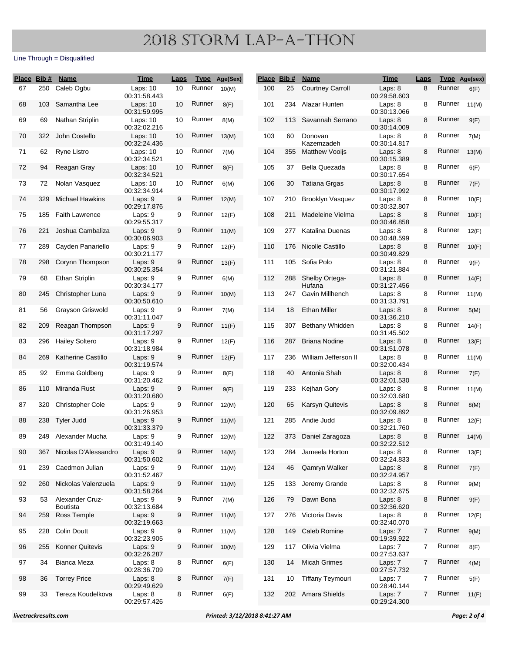| Place Bib # |     | <b>Name</b>                        | <u>Time</u>                | <b>Laps</b>     |              | Type Age(Sex) |     | Place Bib # | <b>Name</b>              | <b>Time</b>             | <b>Laps</b> | Type Age(sex) |       |
|-------------|-----|------------------------------------|----------------------------|-----------------|--------------|---------------|-----|-------------|--------------------------|-------------------------|-------------|---------------|-------|
| 67          | 250 | Caleb Ogbu                         | Laps: $10$<br>00:31:58.443 | 10              | Runner       | 10(M)         | 100 | 25          | <b>Courtney Carroll</b>  | Laps: 8<br>00:29:58.603 | 8           | Runner        | 6(F)  |
| 68          | 103 | Samantha Lee                       | Laps: 10<br>00:31:59.995   | 10              | Runner       | 8(F)          | 101 | 234         | Alazar Hunten            | Laps: 8<br>00:30:13.066 | 8           | Runner        | 11(M) |
| 69          | 69  | Nathan Striplin                    | Laps: 10<br>00:32:02.216   | 10              | Runner       | 8(M)          | 102 | 113         | Savannah Serrano         | Laps: 8<br>00:30:14.009 | 8           | Runner        | 9(F)  |
| 70          | 322 | John Costello                      | Laps: 10<br>00:32:24.436   | 10 <sup>1</sup> | Runner       | 13(M)         | 103 | 60          | Donovan<br>Kazemzadeh    | Laps: 8<br>00:30:14.817 | 8           | Runner        | 7(M)  |
| 71          | 62  | <b>Ryne Listro</b>                 | Laps: 10<br>00:32:34.521   | 10              | Runner       | 7(M)          | 104 | 355         | <b>Matthew Vooijs</b>    | Laps: 8<br>00:30:15.389 | 8           | Runner        | 13(M) |
| 72          | 94  | Reagan Gray                        | Laps: 10<br>00:32:34.521   | 10 <sup>1</sup> | Runner       | 8(F)          | 105 | 37          | Bella Quezada            | Laps: 8<br>00:30:17.654 | 8           | Runner        | 6(F)  |
| 73          | 72  | Nolan Vasquez                      | Laps: 10<br>00:32:34.914   | 10              | Runner       | 6(M)          | 106 | 30          | Tatiana Grgas            | Laps: 8<br>00:30:17.992 | 8           | Runner        | 7(F)  |
| 74          | 329 | <b>Michael Hawkins</b>             | Laps: 9<br>00:29:17.876    | 9               | Runner       | 12(M)         | 107 | 210         | Brooklyn Vasquez         | Laps: 8<br>00:30:32.807 | 8           | Runner        | 10(F) |
| 75          | 185 | <b>Faith Lawrence</b>              | Laps: $9$<br>00:29:55.317  | 9               | Runner       | 12(F)         | 108 | 211         | Madeleine Vielma         | Laps: 8<br>00:30:46.858 | 8           | Runner        | 10(F) |
| 76          | 221 | Joshua Cambaliza                   | Laps: $9$<br>00:30:06.903  | 9               | Runner       | 11(M)         | 109 | 277         | Katalina Duenas          | Laps: 8<br>00:30:48.599 | 8           | Runner        | 12(F) |
| 77          | 289 | Cayden Panariello                  | Laps: 9<br>00:30:21.177    | 9               | Runner       | 12(F)         | 110 | 176         | Nicolle Castillo         | Laps: 8<br>00:30:49.829 | 8           | Runner        | 10(F) |
| 78          | 298 | Corynn Thompson                    | Laps: 9<br>00:30:25.354    | 9               | Runner       | 13(F)         | 111 | 105         | Sofia Polo               | Laps: 8<br>00:31:21.884 | 8           | Runner        | 9(F)  |
| 79          | 68  | <b>Ethan Striplin</b>              | Laps: 9<br>00:30:34.177    | 9               | Runner       | 6(M)          | 112 | 288         | Shelby Ortega-<br>Hufana | Laps: 8<br>00:31:27.456 | 8           | Runner        | 14(F) |
| 80          | 245 | Christopher Luna                   | Laps: 9<br>00:30:50.610    | 9               | Runner       | 10(M)         | 113 | 247         | Gavin Millhench          | Laps: 8<br>00:31:33.791 | 8           | Runner        | 11(M) |
| 81          | 56  | Grayson Griswold                   | Laps: $9$<br>00:31:11.047  | 9               | Runner       | 7(M)          | 114 | 18          | <b>Ethan Miller</b>      | Laps: 8<br>00:31:36.210 | 8           | Runner        | 5(M)  |
| 82          | 209 | Reagan Thompson                    | Laps: 9<br>00:31:17.297    | 9               | Runner       | 11(F)         | 115 | 307         | Bethany Whidden          | Laps: 8<br>00:31:45.502 | 8           | Runner        | 14(F) |
| 83          | 296 | <b>Hailey Soltero</b>              | Laps: 9<br>00:31:18.984    | 9               | Runner       | 12(F)         | 116 | 287         | <b>Briana Nodine</b>     | Laps: 8<br>00:31:51.078 | 8           | Runner        | 13(F) |
| 84          | 269 | <b>Katherine Castillo</b>          | Laps: 9<br>00:31:19.574    | 9               | Runner       | 12(F)         | 117 | 236         | William Jefferson II     | Laps: 8<br>00:32:00.434 | 8           | Runner        | 11(M) |
| 85          | 92  | Emma Goldberg                      | Laps: 9<br>00:31:20.462    | 9               | Runner       | 8(F)          | 118 | 40          | Antonia Shah             | Laps: 8<br>00:32:01.530 | 8           | Runner        | 7(F)  |
| 86          | 110 | Miranda Rust                       | Laps: 9<br>00:31:20.680    | 9               | Runner       | 9(F)          | 119 | 233         | Kejhan Gory              | Laps: 8<br>00:32:03.680 | 8           | Runner        | 11(M) |
| 87          | 320 | <b>Christopher Cole</b>            | Laps: 9<br>00:31:26.953    | 9               | Runner       | 12(M)         | 120 | 65          | <b>Karsyn Quitevis</b>   | Laps: 8<br>00:32:09.892 | 8           | Runner        | 8(M)  |
| 88          | 238 | <b>Tyler Judd</b>                  | Laps: 9<br>00:31:33.379    | 9               | Runner       | 11(M)         | 121 | 285         | Andie Judd               | Laps: 8<br>00:32:21.760 | 8           | Runner        | 12(F) |
| 89          | 249 | Alexander Mucha                    | Laps: 9<br>00:31:49.140    | 9               | Runner       | 12(M)         | 122 | 373         | Daniel Zaragoza          | Laps: 8<br>00:32:22.512 | 8           | Runner        | 14(M) |
| 90          | 367 | Nicolas D'Alessandro               | Laps: 9<br>00:31:50.602    | 9               | Runner 14(M) |               | 123 | 284         | Jameela Horton           | Laps: 8<br>00:32:24.833 | 8           | Runner        | 13(F) |
| 91          | 239 | Caedmon Julian                     | Laps: 9<br>00:31:52.467    | 9               | Runner 11(M) |               | 124 | 46          | Qamryn Walker            | Laps: 8<br>00:32:24.957 | 8           | Runner        | 7(F)  |
| 92          | 260 | Nickolas Valenzuela                | Laps: $9$<br>00:31:58.264  | 9               | Runner       | 11(M)         | 125 | 133         | Jeremy Grande            | Laps: 8<br>00:32:32.675 | 8           | Runner        | 9(M)  |
| 93          | 53  | Alexander Cruz-<br><b>Boutista</b> | Laps: 9<br>00:32:13.684    | 9               | Runner       | 7(M)          | 126 | 79          | Dawn Bona                | Laps: 8<br>00:32:36.620 | 8           | Runner        | 9(F)  |
| 94          | 259 | Ross Temple                        | Laps: 9<br>00:32:19.663    | 9               | Runner       | 11(M)         | 127 |             | 276 Victoria Davis       | Laps: 8<br>00:32:40.070 | 8           | Runner        | 12(F) |
| 95          | 228 | Colin Doutt                        | Laps: 9<br>00:32:23.905    | 9               | Runner       | 11(M)         | 128 | 149         | <b>Caleb Romine</b>      | Laps: 7<br>00:19:39.922 | 7           | Runner        | 9(M)  |
| 96          | 255 | <b>Konner Quitevis</b>             | Laps: 9<br>00:32:26.287    | 9               | Runner       | 10(M)         | 129 | 117         | Olivia Vielma            | Laps: 7<br>00:27:53.637 | 7           | Runner        | 8(F)  |
| 97          | 34  | Bianca Meza                        | Laps: 8<br>00:28:36.709    | 8               | Runner       | 6(F)          | 130 | 14          | <b>Micah Grimes</b>      | Laps: 7<br>00:27:57.732 | 7           | Runner        | 4(M)  |
| 98          | 36  | <b>Torrey Price</b>                | Laps: 8<br>00:29:49.629    | 8               | Runner       | 7(F)          | 131 | 10          | <b>Tiffany Teymouri</b>  | Laps: 7<br>00:28:40.144 | 7           | Runner        | 5(F)  |
| 99          | 33  | Tereza Koudelkova                  | Laps: 8<br>00:29:57.426    | 8               | Runner       | 6(F)          | 132 |             | 202 Amara Shields        | Laps: 7<br>00:29:24.300 | 7           | Runner        | 11(F) |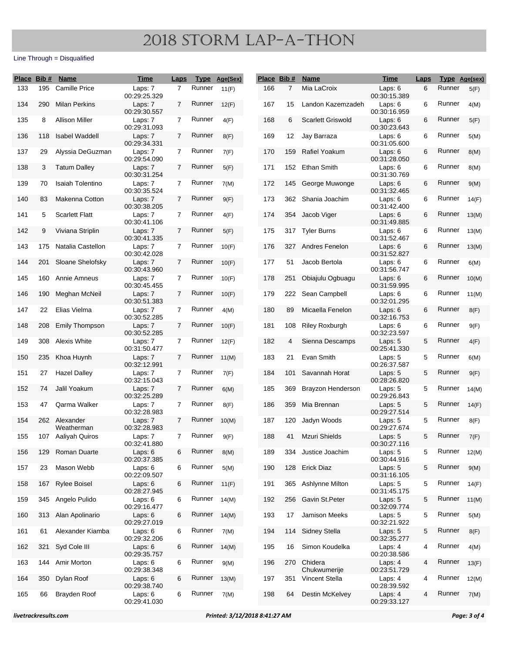| Place Bib # |     | <b>Name</b>                 | <u>Time</u>             | <b>Laps</b>    |        | Type Age(Sex) |     | Place Bib #    | <b>Name</b>              | <b>Time</b>             | <b>Laps</b> | Type Age(sex) |       |
|-------------|-----|-----------------------------|-------------------------|----------------|--------|---------------|-----|----------------|--------------------------|-------------------------|-------------|---------------|-------|
| 133         | 195 | <b>Camille Price</b>        | Laps: 7<br>00:29:25.329 | $\overline{7}$ | Runner | 11(F)         | 166 | $\overline{7}$ | Mia LaCroix              | Laps: 6<br>00:30:15.389 | 6           | Runner        | 5(F)  |
| 134         | 290 | <b>Milan Perkins</b>        | Laps: 7<br>00:29:30.557 | $\overline{7}$ | Runner | 12(F)         | 167 | 15             | Landon Kazemzadeh        | Laps: 6<br>00:30:16.959 | 6           | Runner        | 4(M)  |
| 135         | 8   | <b>Allison Miller</b>       | Laps: 7<br>00:29:31.093 | $\overline{7}$ | Runner | 4(F)          | 168 | 6              | <b>Scarlett Griswold</b> | Laps: 6<br>00:30:23.643 | 6           | Runner        | 5(F)  |
| 136         | 118 | <b>Isabel Waddell</b>       | Laps: 7<br>00:29:34.331 | $\overline{7}$ | Runner | 8(F)          | 169 | 12             | Jay Barraza              | Laps: 6<br>00:31:05.600 | 6           | Runner        | 5(M)  |
| 137         | 29  | Alyssia DeGuzman            | Laps: 7<br>00:29:54.090 | $\overline{7}$ | Runner | 7(F)          | 170 | 159            | <b>Rafiel Yoakum</b>     | Laps: 6<br>00:31:28.050 | 6           | Runner        | 8(M)  |
| 138         | 3   | <b>Tatum Dalley</b>         | Laps: 7<br>00:30:31.254 | $\overline{7}$ | Runner | 5(F)          | 171 | 152            | Ethan Smith              | Laps: 6<br>00:31:30.769 | 6           | Runner        | 8(M)  |
| 139         | 70  | Isaiah Tolentino            | Laps: 7<br>00:30:35.524 | $\mathbf{7}$   | Runner | 7(M)          | 172 | 145            | George Muwonge           | Laps: 6<br>00:31:32.465 | 6           | Runner        | 9(M)  |
| 140         | 83  | Makenna Cotton              | Laps: 7<br>00:30:38.205 | $\overline{7}$ | Runner | 9(F)          | 173 | 362            | Shania Joachim           | Laps: 6<br>00:31:42.400 | 6           | Runner        | 14(F) |
| 141         | 5   | <b>Scarlett Flatt</b>       | Laps: 7<br>00:30:41.106 | $\overline{7}$ | Runner | 4(F)          | 174 | 354            | Jacob Viger              | Laps: 6<br>00:31:49.885 | 6           | Runner        | 13(M) |
| 142         | 9   | Viviana Striplin            | Laps: 7<br>00:30:41.335 | $\overline{7}$ | Runner | 5(F)          | 175 | 317            | <b>Tyler Burns</b>       | Laps: 6<br>00:31:52.467 | 6           | Runner        | 13(M) |
| 143         | 175 | Natalia Castellon           | Laps: 7<br>00:30:42.028 | $\mathbf{7}$   | Runner | 10(F)         | 176 | 327            | Andres Fenelon           | Laps: 6<br>00:31:52.827 | 6           | Runner        | 13(M) |
| 144         | 201 | Sloane Shelofsky            | Laps: 7<br>00:30:43.960 | $\overline{7}$ | Runner | 10(F)         | 177 | 51             | Jacob Bertola            | Laps: 6<br>00:31:56.747 | 6           | Runner        | 6(M)  |
| 145         | 160 | Annie Amneus                | Laps: 7<br>00:30:45.455 | $\overline{7}$ | Runner | 10(F)         | 178 | 251            | Obiajulu Ogbuagu         | Laps: 6<br>00:31:59.995 | 6           | Runner        | 10(M) |
| 146         | 190 | Meghan McNeil               | Laps: 7<br>00:30:51.383 | $\overline{7}$ | Runner | 10(F)         | 179 | 222            | Sean Campbell            | Laps: 6<br>00:32:01.295 | 6           | Runner        | 11(M) |
| 147         | 22  | Elias Vielma                | Laps: 7<br>00:30:52.285 | $\overline{7}$ | Runner | 4(M)          | 180 | 89             | Micaella Fenelon         | Laps: 6<br>00:32:16.753 | 6           | Runner        | 8(F)  |
| 148         | 208 | <b>Emily Thompson</b>       | Laps: 7<br>00:30:52.285 | $\mathbf{7}$   | Runner | 10(F)         | 181 | 108            | Riley Roxburgh           | Laps: 6<br>00:32:23.597 | 6           | Runner        | 9(F)  |
| 149         | 308 | Alexis White                | Laps: 7<br>00:31:50.477 | 7              | Runner | 12(F)         | 182 | 4              | Sienna Descamps          | Laps: 5<br>00:25:41.330 | 5           | Runner        | 4(F)  |
| 150         | 235 | Khoa Huynh                  | Laps: 7<br>00:32:12.991 | $\overline{7}$ | Runner | 11(M)         | 183 | 21             | Evan Smith               | Laps: 5<br>00:26:37.587 | 5           | Runner        | 6(M)  |
| 151         | 27  | <b>Hazel Dalley</b>         | Laps: 7<br>00:32:15.043 | $\overline{7}$ | Runner | 7(F)          | 184 | 101            | Savannah Horat           | Laps: 5<br>00:28:26.820 | 5           | Runner        | 9(F)  |
| 152         | 74  | Jalil Yoakum                | Laps: 7<br>00:32:25.289 | $\overline{7}$ | Runner | 6(M)          | 185 | 369            | <b>Brayzon Henderson</b> | Laps: 5<br>00:29:26.843 | 5           | Runner        | 14(M) |
| 153         | 47  | Qarma Walker                | Laps: 7<br>00:32:28.983 | $\overline{7}$ | Runner | 8(F)          | 186 | 359            | Mia Brennan              | Laps: 5<br>00:29:27.514 | 5           | Runner        | 14(F) |
| 154         |     | 262 Alexander<br>Weatherman | Laps: 7<br>00:32:28.983 | $\overline{7}$ | Runner | 10(M)         | 187 | 120            | Jadyn Woods              | Laps: 5<br>00:29:27.674 | 5.          | Runner        | 8(F)  |
| 155         |     | 107 Aaliyah Quiros          | Laps: 7<br>00:32:41.880 | 7              | Runner | 9(F)          | 188 | 41             | Mzuri Shields            | Laps: 5<br>00:30:27.116 | 5           | Runner        | 7(F)  |
| 156         | 129 | Roman Duarte                | Laps: 6<br>00:20:37.385 | 6              | Runner | 8(M)          | 189 | 334            | Justice Joachim          | Laps: 5<br>00:30:44.916 | 5           | Runner        | 12(M) |
| 157         | 23  | Mason Webb                  | Laps: 6<br>00:22:09.507 | 6              | Runner | 5(M)          | 190 |                | 128 Erick Diaz           | Laps: 5<br>00:31:16.105 | 5           | Runner        | 9(M)  |
| 158         | 167 | <b>Rylee Boisel</b>         | Laps: 6<br>00:28:27.945 | 6              | Runner | 11(F)         | 191 |                | 365 Ashlynne Milton      | Laps: 5<br>00:31:45.175 | 5           | Runner        | 14(F) |
| 159         | 345 | Angelo Pulido               | Laps: 6<br>00:29:16.477 | 6              | Runner | 14(M)         | 192 | 256            | Gavin St.Peter           | Laps: 5<br>00:32:09.774 | 5           | Runner        | 11(M) |
| 160         | 313 | Alan Apolinario             | Laps: 6<br>00:29:27.019 | 6              | Runner | 14(M)         | 193 | 17             | Jamison Meeks            | Laps: 5<br>00:32:21.922 | 5           | Runner        | 5(M)  |
| 161         | 61  | Alexander Kiamba            | Laps: 6<br>00:29:32.206 | 6              | Runner | 7(M)          | 194 | 114            | <b>Sidney Stella</b>     | Laps: 5<br>00:32:35.277 | 5           | Runner        | 8(F)  |
| 162         | 321 | Syd Cole III                | Laps: 6<br>00:29:35.757 | 6              | Runner | 14(M)         | 195 | 16             | Simon Koudelka           | Laps: 4<br>00:20:38.586 | 4           | Runner        | 4(M)  |
| 163         |     | 144 Amir Morton             | Laps: 6<br>00:29:38.348 | 6              | Runner | 9(M)          | 196 | 270            | Chidera<br>Chukwumerije  | Laps: 4<br>00:23:51.729 | 4           | Runner        | 13(F) |
| 164         | 350 | Dylan Roof                  | Laps: 6<br>00:29:38.740 | 6              | Runner | 13(M)         | 197 | 351            | Vincent Stella           | Laps: 4<br>00:28:39.592 | 4           | Runner        | 12(M) |
| 165         | 66  | Brayden Roof                | Laps: 6<br>00:29:41.030 | 6              | Runner | 7(M)          | 198 | 64             | Destin McKelvey          | Laps: 4<br>00:29:33.127 | 4           | Runner        | 7(M)  |